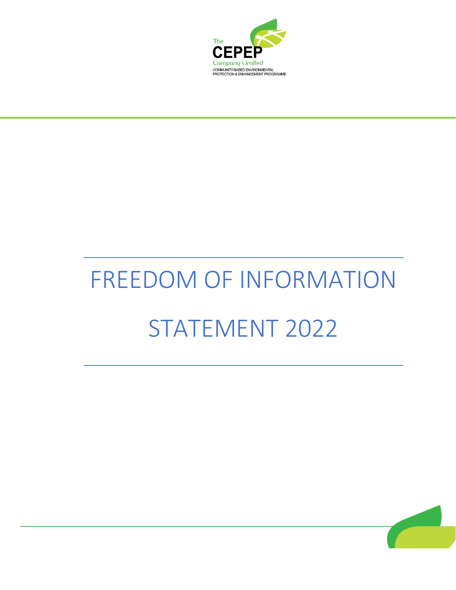

# FREEDOM OF INFORMATION STATEMENT 2022

İ

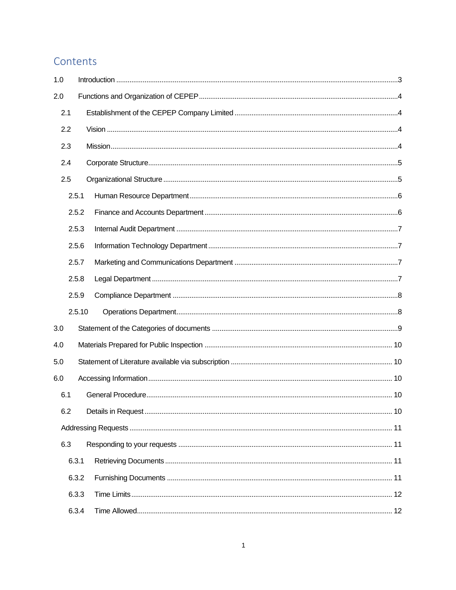## Contents

| 1.0 |        |  |  |  |
|-----|--------|--|--|--|
| 2.0 |        |  |  |  |
| 2.1 |        |  |  |  |
| 2.2 |        |  |  |  |
| 2.3 |        |  |  |  |
| 2.4 |        |  |  |  |
| 2.5 |        |  |  |  |
|     | 2.5.1  |  |  |  |
|     | 2.5.2  |  |  |  |
|     | 2.5.3  |  |  |  |
|     | 2.5.6  |  |  |  |
|     | 2.5.7  |  |  |  |
|     | 2.5.8  |  |  |  |
|     | 2.5.9  |  |  |  |
|     | 2.5.10 |  |  |  |
| 3.0 |        |  |  |  |
| 4.0 |        |  |  |  |
| 5.0 |        |  |  |  |
| 6.0 |        |  |  |  |
| 6.1 |        |  |  |  |
| 6.2 |        |  |  |  |
|     |        |  |  |  |
| 6.3 |        |  |  |  |
|     | 6.3.1  |  |  |  |
|     | 6.3.2  |  |  |  |
|     | 6.3.3  |  |  |  |
|     | 6.3.4  |  |  |  |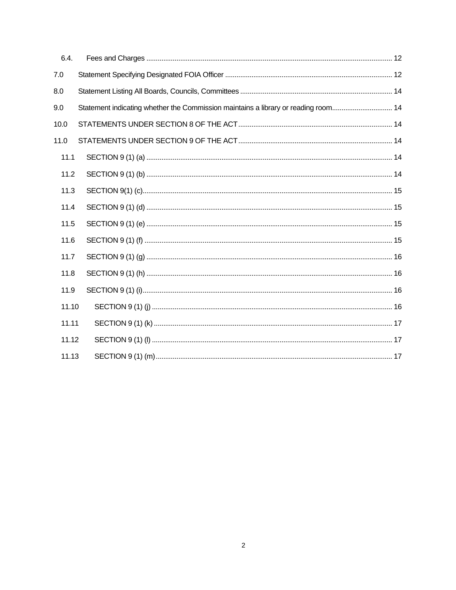| 6.4.  |                                                                                    |  |
|-------|------------------------------------------------------------------------------------|--|
| 7.0   |                                                                                    |  |
| 8.0   |                                                                                    |  |
| 9.0   | Statement indicating whether the Commission maintains a library or reading room 14 |  |
| 10.0  |                                                                                    |  |
| 11.0  |                                                                                    |  |
| 11.1  |                                                                                    |  |
| 11.2  |                                                                                    |  |
| 11.3  |                                                                                    |  |
| 11.4  |                                                                                    |  |
| 11.5  |                                                                                    |  |
| 11.6  |                                                                                    |  |
| 11.7  |                                                                                    |  |
| 11.8  |                                                                                    |  |
| 11.9  |                                                                                    |  |
| 11.10 |                                                                                    |  |
| 11.11 |                                                                                    |  |
| 11.12 |                                                                                    |  |
| 11.13 |                                                                                    |  |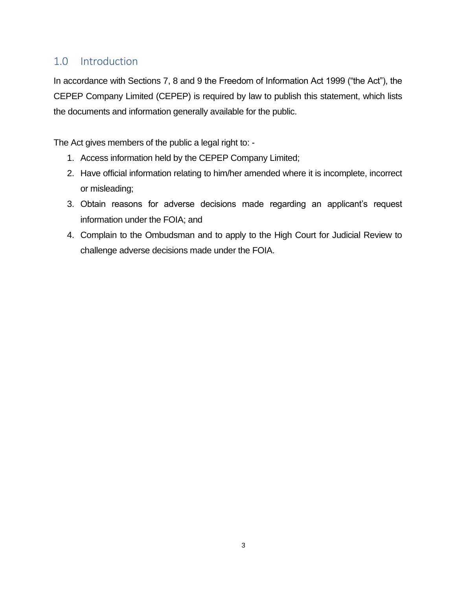## <span id="page-3-0"></span>1.0 Introduction

In accordance with Sections 7, 8 and 9 the Freedom of Information Act 1999 ("the Act"), the CEPEP Company Limited (CEPEP) is required by law to publish this statement, which lists the documents and information generally available for the public.

The Act gives members of the public a legal right to: -

- 1. Access information held by the CEPEP Company Limited;
- 2. Have official information relating to him/her amended where it is incomplete, incorrect or misleading;
- 3. Obtain reasons for adverse decisions made regarding an applicant's request information under the FOIA; and
- 4. Complain to the Ombudsman and to apply to the High Court for Judicial Review to challenge adverse decisions made under the FOIA.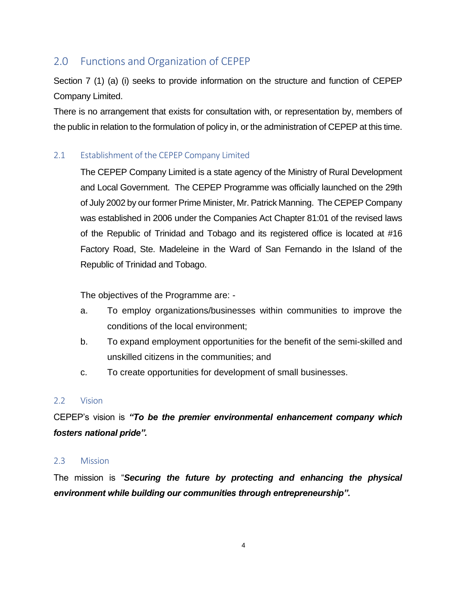## <span id="page-4-0"></span>2.0 Functions and Organization of CEPEP

Section 7 (1) (a) (i) seeks to provide information on the structure and function of CEPEP Company Limited.

There is no arrangement that exists for consultation with, or representation by, members of the public in relation to the formulation of policy in, or the administration of CEPEP at this time.

## <span id="page-4-1"></span>2.1 Establishment of the CEPEP Company Limited

The CEPEP Company Limited is a state agency of the Ministry of Rural Development and Local Government. The CEPEP Programme was officially launched on the 29th of July 2002 by our former Prime Minister, Mr. Patrick Manning. The CEPEP Company was established in 2006 under the Companies Act Chapter 81:01 of the revised laws of the Republic of Trinidad and Tobago and its registered office is located at #16 Factory Road, Ste. Madeleine in the Ward of San Fernando in the Island of the Republic of Trinidad and Tobago.

The objectives of the Programme are: -

- a. To employ organizations/businesses within communities to improve the conditions of the local environment;
- b. To expand employment opportunities for the benefit of the semi-skilled and unskilled citizens in the communities; and
- c. To create opportunities for development of small businesses.

#### <span id="page-4-2"></span>2.2 Vision

CEPEP's vision is *"To be the premier environmental enhancement company which fosters national pride".*

#### <span id="page-4-3"></span>2.3 Mission

The mission is "*Securing the future by protecting and enhancing the physical environment while building our communities through entrepreneurship".*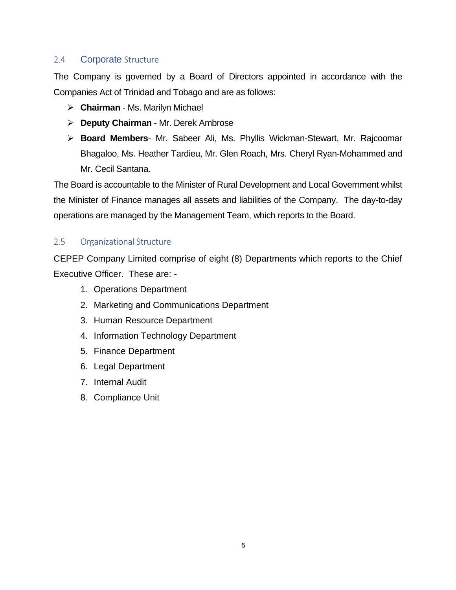## <span id="page-5-0"></span>2.4 **Corporate** Structure

The Company is governed by a Board of Directors appointed in accordance with the Companies Act of Trinidad and Tobago and are as follows:

- ➢ **Chairman** Ms. Marilyn Michael
- ➢ **Deputy Chairman** Mr. Derek Ambrose
- ➢ **Board Members** Mr. Sabeer Ali, Ms. Phyllis Wickman-Stewart, Mr. Rajcoomar Bhagaloo, Ms. Heather Tardieu, Mr. Glen Roach, Mrs. Cheryl Ryan-Mohammed and Mr. Cecil Santana.

The Board is accountable to the Minister of Rural Development and Local Government whilst the Minister of Finance manages all assets and liabilities of the Company. The day-to-day operations are managed by the Management Team, which reports to the Board.

#### <span id="page-5-1"></span>2.5 Organizational Structure

CEPEP Company Limited comprise of eight (8) Departments which reports to the Chief Executive Officer. These are: -

- 1. Operations Department
- 2. Marketing and Communications Department
- 3. Human Resource Department
- 4. Information Technology Department
- 5. Finance Department
- 6. Legal Department
- 7. Internal Audit
- 8. Compliance Unit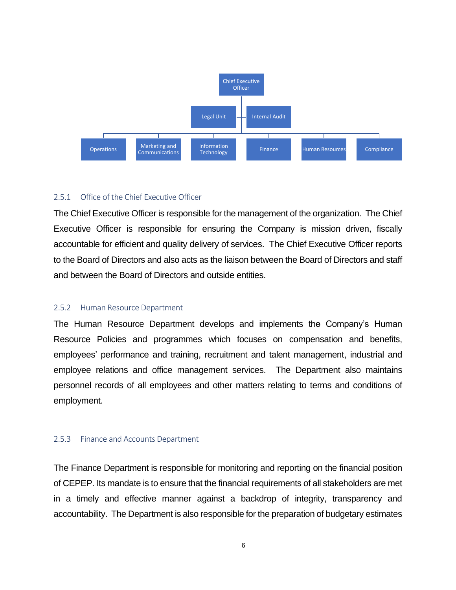

#### <span id="page-6-0"></span>2.5.1 Office of the Chief Executive Officer

The Chief Executive Officer is responsible for the management of the organization. The Chief Executive Officer is responsible for ensuring the Company is mission driven, fiscally accountable for efficient and quality delivery of services. The Chief Executive Officer reports to the Board of Directors and also acts as the liaison between the Board of Directors and staff and between the Board of Directors and outside entities.

#### 2.5.2 Human Resource Department

The Human Resource Department develops and implements the Company's Human Resource Policies and programmes which focuses on compensation and benefits, employees' performance and training, recruitment and talent management, industrial and employee relations and office management services. The Department also maintains personnel records of all employees and other matters relating to terms and conditions of employment.

#### <span id="page-6-1"></span>2.5.3 Finance and Accounts Department

The Finance Department is responsible for monitoring and reporting on the financial position of CEPEP. Its mandate is to ensure that the financial requirements of all stakeholders are met in a timely and effective manner against a backdrop of integrity, transparency and accountability. The Department is also responsible for the preparation of budgetary estimates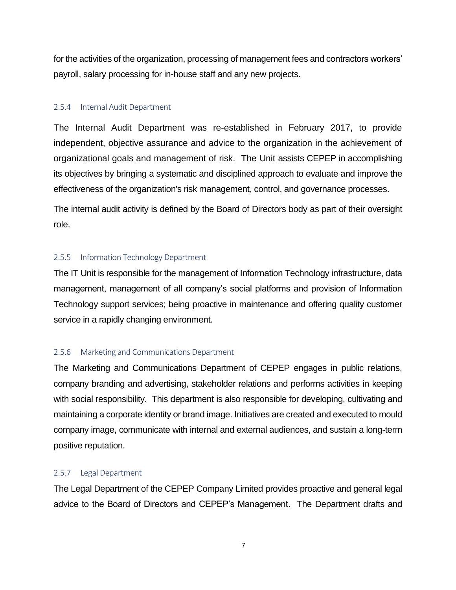for the activities of the organization, processing of management fees and contractors workers' payroll, salary processing for in-house staff and any new projects.

#### <span id="page-7-0"></span>2.5.4 Internal Audit Department

The Internal Audit Department was re-established in February 2017, to provide independent, objective assurance and advice to the organization in the achievement of organizational goals and management of risk. The Unit assists CEPEP in accomplishing its objectives by bringing a systematic and disciplined approach to evaluate and improve the effectiveness of the organization's risk management, control, and governance processes.

The internal audit activity is defined by the Board of Directors body as part of their oversight role.

#### <span id="page-7-1"></span>2.5.5 Information Technology Department

The IT Unit is responsible for the management of Information Technology infrastructure, data management, management of all company's social platforms and provision of Information Technology support services; being proactive in maintenance and offering quality customer service in a rapidly changing environment.

#### <span id="page-7-2"></span>2.5.6 Marketing and Communications Department

The Marketing and Communications Department of CEPEP engages in public relations, company branding and advertising, stakeholder relations and performs activities in keeping with social responsibility. This department is also responsible for developing, cultivating and maintaining a corporate identity or brand image. Initiatives are created and executed to mould company image, communicate with internal and external audiences, and sustain a long-term positive reputation.

#### <span id="page-7-3"></span>2.5.7 Legal Department

The Legal Department of the CEPEP Company Limited provides proactive and general legal advice to the Board of Directors and CEPEP's Management. The Department drafts and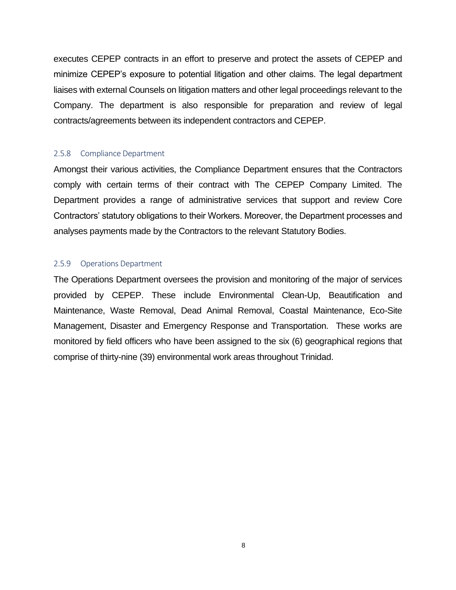executes CEPEP contracts in an effort to preserve and protect the assets of CEPEP and minimize CEPEP's exposure to potential litigation and other claims. The legal department liaises with external Counsels on litigation matters and other legal proceedings relevant to the Company. The department is also responsible for preparation and review of legal contracts/agreements between its independent contractors and CEPEP.

#### <span id="page-8-0"></span>2.5.8 Compliance Department

Amongst their various activities, the Compliance Department ensures that the Contractors comply with certain terms of their contract with The CEPEP Company Limited. The Department provides a range of administrative services that support and review Core Contractors' statutory obligations to their Workers. Moreover, the Department processes and analyses payments made by the Contractors to the relevant Statutory Bodies.

#### <span id="page-8-1"></span>2.5.9 Operations Department

The Operations Department oversees the provision and monitoring of the major of services provided by CEPEP. These include Environmental Clean-Up, Beautification and Maintenance, Waste Removal, Dead Animal Removal, Coastal Maintenance, Eco-Site Management, Disaster and Emergency Response and Transportation. These works are monitored by field officers who have been assigned to the six (6) geographical regions that comprise of thirty-nine (39) environmental work areas throughout Trinidad.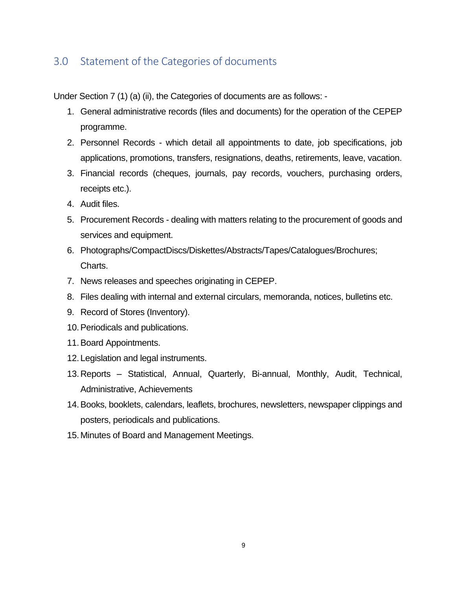## <span id="page-9-0"></span>3.0 Statement of the Categories of documents

Under Section 7 (1) (a) (ii), the Categories of documents are as follows: -

- 1. General administrative records (files and documents) for the operation of the CEPEP programme.
- 2. Personnel Records which detail all appointments to date, job specifications, job applications, promotions, transfers, resignations, deaths, retirements, leave, vacation.
- 3. Financial records (cheques, journals, pay records, vouchers, purchasing orders, receipts etc.).
- 4. Audit files.
- 5. Procurement Records dealing with matters relating to the procurement of goods and services and equipment.
- 6. Photographs/CompactDiscs/Diskettes/Abstracts/Tapes/Catalogues/Brochures; Charts.
- 7. News releases and speeches originating in CEPEP.
- 8. Files dealing with internal and external circulars, memoranda, notices, bulletins etc.
- 9. Record of Stores (Inventory).
- 10.Periodicals and publications.
- 11.Board Appointments.
- 12. Legislation and legal instruments.
- 13.Reports Statistical, Annual, Quarterly, Bi-annual, Monthly, Audit, Technical, Administrative, Achievements
- 14.Books, booklets, calendars, leaflets, brochures, newsletters, newspaper clippings and posters, periodicals and publications.
- 15. Minutes of Board and Management Meetings.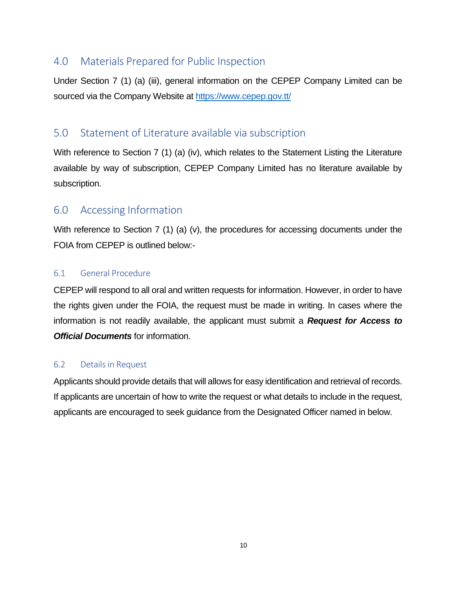## <span id="page-10-0"></span>4.0 Materials Prepared for Public Inspection

Under Section 7 (1) (a) (iii), general information on the CEPEP Company Limited can be sourced via the Company Website a[t https://www.cepep.gov.tt/](https://www.cepep.gov.tt/)

## <span id="page-10-1"></span>5.0 Statement of Literature available via subscription

With reference to Section 7 (1) (a) (iv), which relates to the Statement Listing the Literature available by way of subscription, CEPEP Company Limited has no literature available by subscription.

## <span id="page-10-2"></span>6.0 Accessing Information

With reference to Section 7 (1) (a) (v), the procedures for accessing documents under the FOIA from CEPEP is outlined below:-

#### <span id="page-10-3"></span>6.1 General Procedure

CEPEP will respond to all oral and written requests for information. However, in order to have the rights given under the FOIA, the request must be made in writing. In cases where the information is not readily available, the applicant must submit a *Request for Access to Official Documents* for information.

#### <span id="page-10-4"></span>6.2 Details in Request

Applicants should provide details that will allows for easy identification and retrieval of records. If applicants are uncertain of how to write the request or what details to include in the request, applicants are encouraged to seek guidance from the Designated Officer named in below.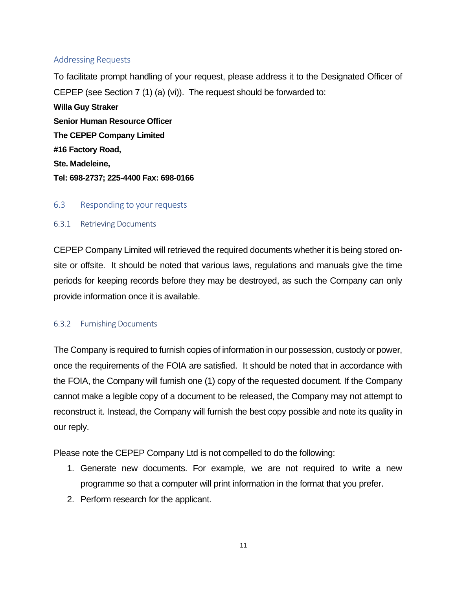#### <span id="page-11-0"></span>Addressing Requests

To facilitate prompt handling of your request, please address it to the Designated Officer of CEPEP (see Section 7 (1) (a) (vi)). The request should be forwarded to:

**Willa Guy Straker Senior Human Resource Officer The CEPEP Company Limited #16 Factory Road, Ste. Madeleine, Tel: 698-2737; 225-4400 Fax: 698-0166**

#### <span id="page-11-1"></span>6.3 Responding to your requests

#### <span id="page-11-2"></span>6.3.1 Retrieving Documents

CEPEP Company Limited will retrieved the required documents whether it is being stored onsite or offsite. It should be noted that various laws, regulations and manuals give the time periods for keeping records before they may be destroyed, as such the Company can only provide information once it is available.

#### <span id="page-11-3"></span>6.3.2 Furnishing Documents

The Company is required to furnish copies of information in our possession, custody or power, once the requirements of the FOIA are satisfied. It should be noted that in accordance with the FOIA, the Company will furnish one (1) copy of the requested document. If the Company cannot make a legible copy of a document to be released, the Company may not attempt to reconstruct it. Instead, the Company will furnish the best copy possible and note its quality in our reply.

Please note the CEPEP Company Ltd is not compelled to do the following:

- 1. Generate new documents. For example, we are not required to write a new programme so that a computer will print information in the format that you prefer.
- 2. Perform research for the applicant.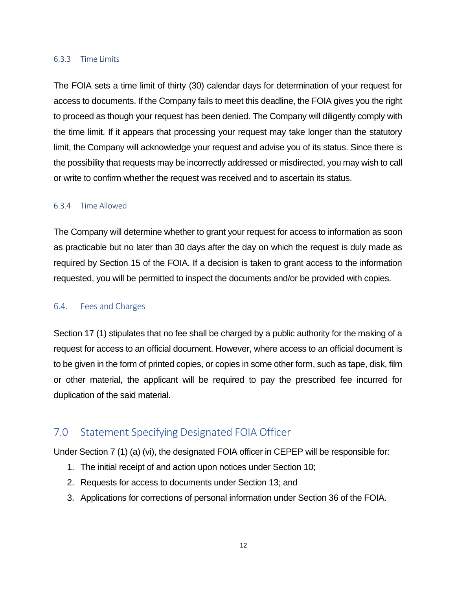#### <span id="page-12-0"></span>6.3.3 Time Limits

The FOIA sets a time limit of thirty (30) calendar days for determination of your request for access to documents. If the Company fails to meet this deadline, the FOIA gives you the right to proceed as though your request has been denied. The Company will diligently comply with the time limit. If it appears that processing your request may take longer than the statutory limit, the Company will acknowledge your request and advise you of its status. Since there is the possibility that requests may be incorrectly addressed or misdirected, you may wish to call or write to confirm whether the request was received and to ascertain its status.

#### <span id="page-12-1"></span>6.3.4 Time Allowed

The Company will determine whether to grant your request for access to information as soon as practicable but no later than 30 days after the day on which the request is duly made as required by Section 15 of the FOIA. If a decision is taken to grant access to the information requested, you will be permitted to inspect the documents and/or be provided with copies.

#### <span id="page-12-2"></span>6.4. Fees and Charges

Section 17 (1) stipulates that no fee shall be charged by a public authority for the making of a request for access to an official document. However, where access to an official document is to be given in the form of printed copies, or copies in some other form, such as tape, disk, film or other material, the applicant will be required to pay the prescribed fee incurred for duplication of the said material.

## <span id="page-12-3"></span>7.0 Statement Specifying Designated FOIA Officer

Under Section 7 (1) (a) (vi), the designated FOIA officer in CEPEP will be responsible for:

- 1. The initial receipt of and action upon notices under Section 10;
- 2. Requests for access to documents under Section 13; and
- 3. Applications for corrections of personal information under Section 36 of the FOIA.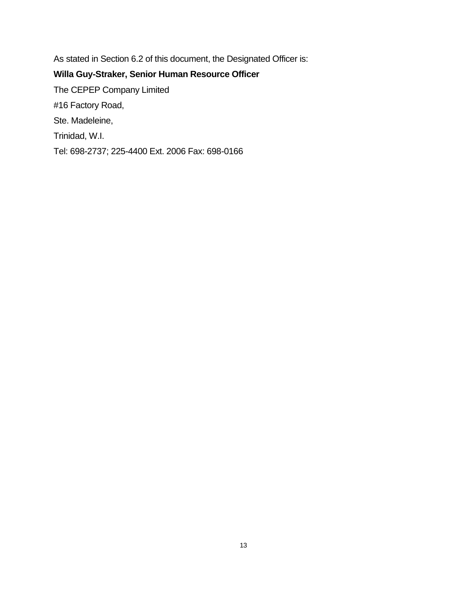As stated in Section 6.2 of this document, the Designated Officer is: **Willa Guy-Straker, Senior Human Resource Officer** The CEPEP Company Limited #16 Factory Road, Ste. Madeleine, Trinidad, W.I.

<span id="page-13-0"></span>Tel: 698-2737; 225-4400 Ext. 2006 Fax: 698-0166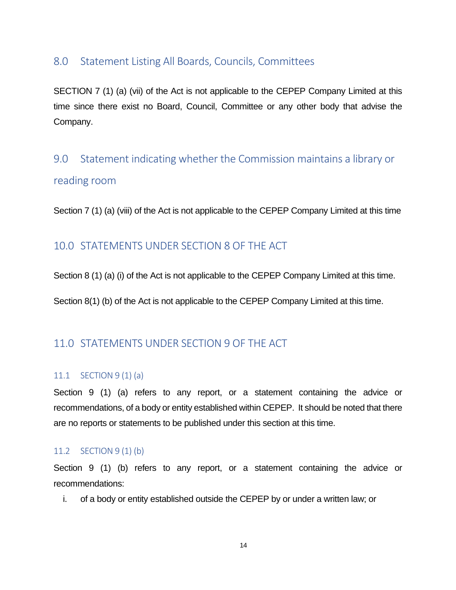## 8.0 Statement Listing All Boards, Councils, Committees

SECTION 7 (1) (a) (vii) of the Act is not applicable to the CEPEP Company Limited at this time since there exist no Board, Council, Committee or any other body that advise the Company.

## <span id="page-14-0"></span>9.0 Statement indicating whether the Commission maintains a library or reading room

<span id="page-14-1"></span>Section 7 (1) (a) (viii) of the Act is not applicable to the CEPEP Company Limited at this time

## 10.0 STATEMENTS UNDER SECTION 8 OF THE ACT

Section 8 (1) (a) (i) of the Act is not applicable to the CEPEP Company Limited at this time.

Section 8(1) (b) of the Act is not applicable to the CEPEP Company Limited at this time.

## <span id="page-14-2"></span>11.0 STATEMENTS UNDER SECTION 9 OF THE ACT

#### <span id="page-14-3"></span>11.1 SECTION 9 (1) (a)

Section 9 (1) (a) refers to any report, or a statement containing the advice or recommendations, of a body or entity established within CEPEP. It should be noted that there are no reports or statements to be published under this section at this time.

#### <span id="page-14-4"></span>11.2 SECTION 9 (1) (b)

Section 9 (1) (b) refers to any report, or a statement containing the advice or recommendations:

i. of a body or entity established outside the CEPEP by or under a written law; or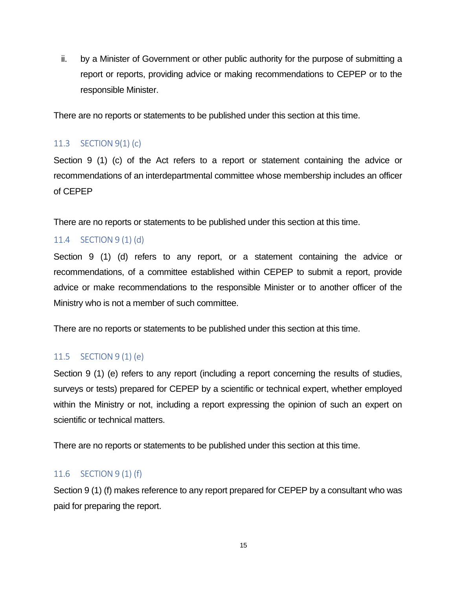ii. by a Minister of Government or other public authority for the purpose of submitting a report or reports, providing advice or making recommendations to CEPEP or to the responsible Minister.

There are no reports or statements to be published under this section at this time.

#### <span id="page-15-0"></span>11.3 SECTION 9(1) (c)

Section 9 (1) (c) of the Act refers to a report or statement containing the advice or recommendations of an interdepartmental committee whose membership includes an officer of CEPEP

There are no reports or statements to be published under this section at this time.

#### <span id="page-15-1"></span>11.4 SECTION 9 (1) (d)

Section 9 (1) (d) refers to any report, or a statement containing the advice or recommendations, of a committee established within CEPEP to submit a report, provide advice or make recommendations to the responsible Minister or to another officer of the Ministry who is not a member of such committee.

There are no reports or statements to be published under this section at this time.

#### <span id="page-15-2"></span>11.5 SECTION 9 (1) (e)

Section 9 (1) (e) refers to any report (including a report concerning the results of studies, surveys or tests) prepared for CEPEP by a scientific or technical expert, whether employed within the Ministry or not, including a report expressing the opinion of such an expert on scientific or technical matters.

There are no reports or statements to be published under this section at this time.

#### <span id="page-15-3"></span>11.6 SECTION 9 (1) (f)

Section 9 (1) (f) makes reference to any report prepared for CEPEP by a consultant who was paid for preparing the report.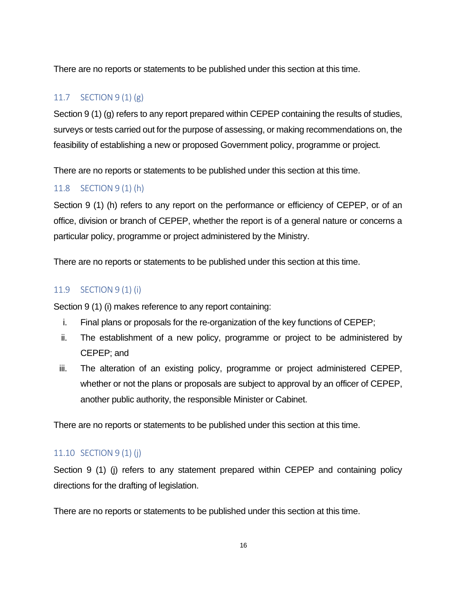There are no reports or statements to be published under this section at this time.

## <span id="page-16-0"></span>11.7 SECTION 9 (1) (g)

Section 9 (1) (g) refers to any report prepared within CEPEP containing the results of studies, surveys or tests carried out for the purpose of assessing, or making recommendations on, the feasibility of establishing a new or proposed Government policy, programme or project.

There are no reports or statements to be published under this section at this time.

## <span id="page-16-1"></span>11.8 SECTION 9 (1) (h)

Section 9 (1) (h) refers to any report on the performance or efficiency of CEPEP, or of an office, division or branch of CEPEP, whether the report is of a general nature or concerns a particular policy, programme or project administered by the Ministry.

There are no reports or statements to be published under this section at this time.

### <span id="page-16-2"></span>11.9 SECTION 9 (1) (i)

Section 9 (1) (i) makes reference to any report containing:

- i. Final plans or proposals for the re-organization of the key functions of CEPEP;
- ii. The establishment of a new policy, programme or project to be administered by CEPEP; and
- iii. The alteration of an existing policy, programme or project administered CEPEP, whether or not the plans or proposals are subject to approval by an officer of CEPEP, another public authority, the responsible Minister or Cabinet.

There are no reports or statements to be published under this section at this time.

## <span id="page-16-3"></span>11.10 SECTION 9 (1) (j)

Section 9 (1) (j) refers to any statement prepared within CEPEP and containing policy directions for the drafting of legislation.

There are no reports or statements to be published under this section at this time.